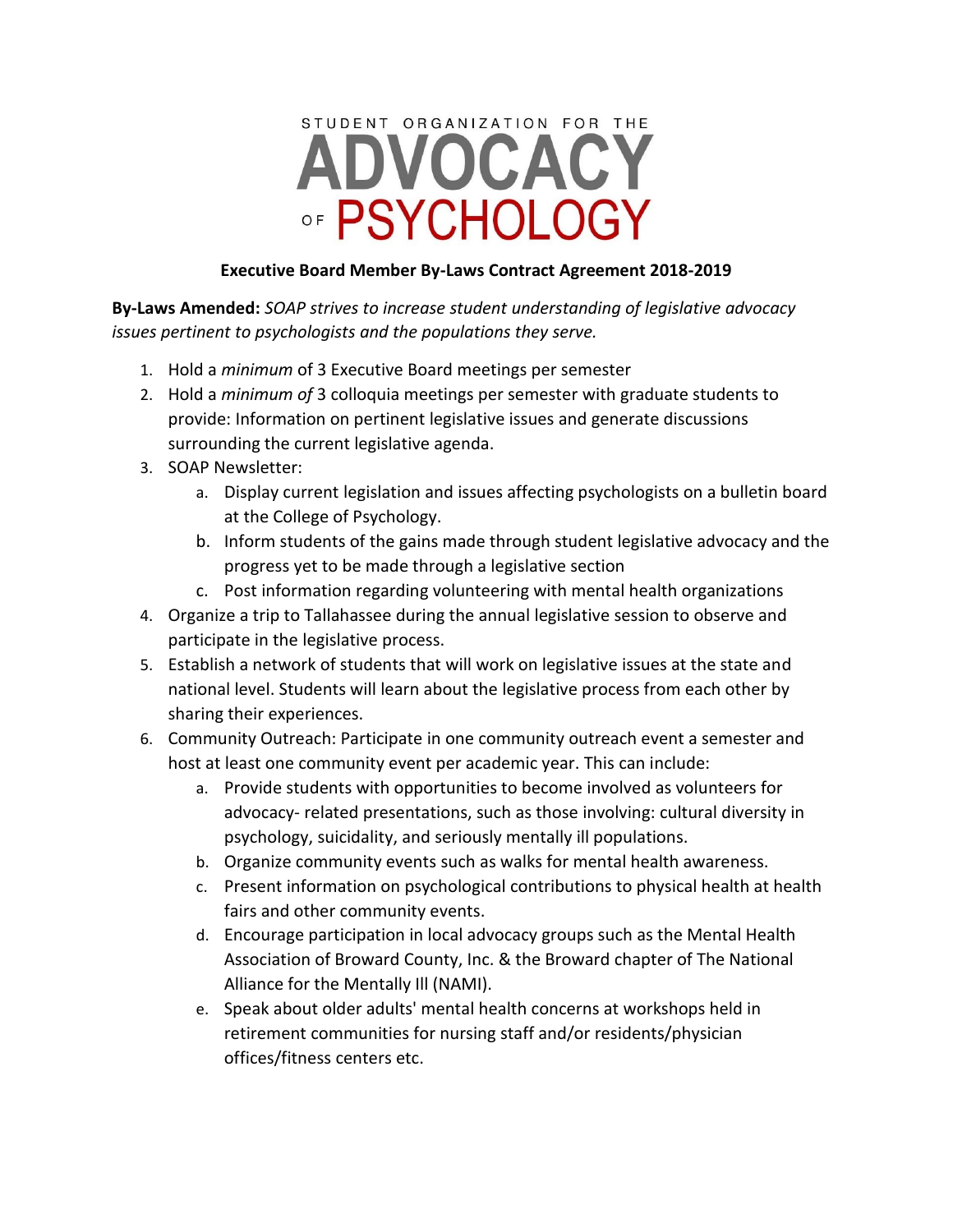# STUDENT ORGANIZATION FOR THE ADVOCACY OF PSYCHOLOGY

#### **Executive Board Member By-Laws Contract Agreement 2018-2019**

**By-Laws Amended:** *SOAP strives to increase student understanding of legislative advocacy issues pertinent to psychologists and the populations they serve.*

- 1. Hold a *minimum* of 3 Executive Board meetings per semester
- 2. Hold a *minimum of* 3 colloquia meetings per semester with graduate students to provide: Information on pertinent legislative issues and generate discussions surrounding the current legislative agenda.
- 3. SOAP Newsletter:
	- a. Display current legislation and issues affecting psychologists on a bulletin board at the College of Psychology.
	- b. Inform students of the gains made through student legislative advocacy and the progress yet to be made through a legislative section
	- c. Post information regarding volunteering with mental health organizations
- 4. Organize a trip to Tallahassee during the annual legislative session to observe and participate in the legislative process.
- 5. Establish a network of students that will work on legislative issues at the state and national level. Students will learn about the legislative process from each other by sharing their experiences.
- 6. Community Outreach: Participate in one community outreach event a semester and host at least one community event per academic year. This can include:
	- a. Provide students with opportunities to become involved as volunteers for advocacy- related presentations, such as those involving: cultural diversity in psychology, suicidality, and seriously mentally ill populations.
	- b. Organize community events such as walks for mental health awareness.
	- c. Present information on psychological contributions to physical health at health fairs and other community events.
	- d. Encourage participation in local advocacy groups such as the Mental Health Association of Broward County, Inc. & the Broward chapter of The National Alliance for the Mentally Ill (NAMI).
	- e. Speak about older adults' mental health concerns at workshops held in retirement communities for nursing staff and/or residents/physician offices/fitness centers etc.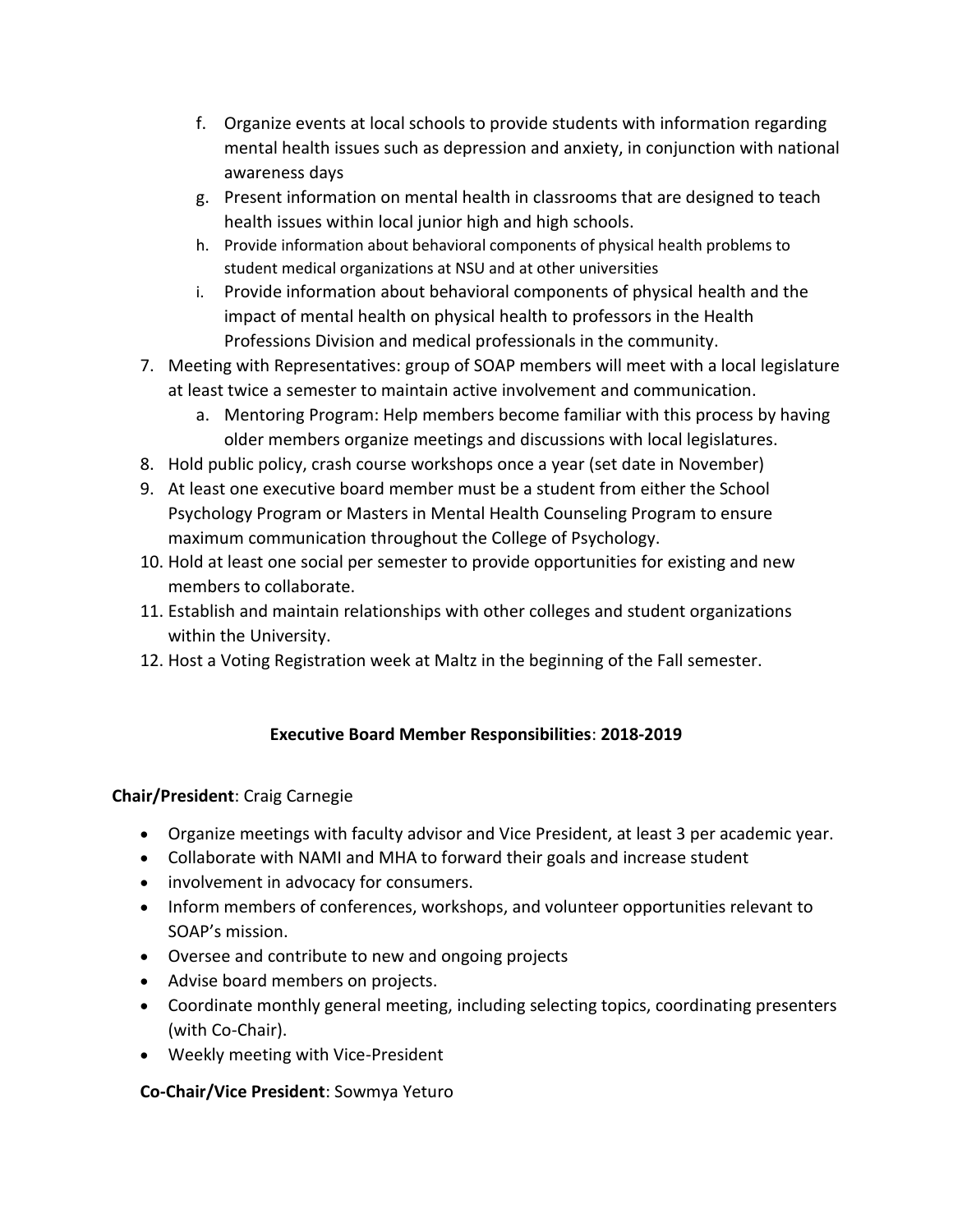- f. Organize events at local schools to provide students with information regarding mental health issues such as depression and anxiety, in conjunction with national awareness days
- g. Present information on mental health in classrooms that are designed to teach health issues within local junior high and high schools.
- h. Provide information about behavioral components of physical health problems to student medical organizations at NSU and at other universities
- i. Provide information about behavioral components of physical health and the impact of mental health on physical health to professors in the Health Professions Division and medical professionals in the community.
- 7. Meeting with Representatives: group of SOAP members will meet with a local legislature at least twice a semester to maintain active involvement and communication.
	- a. Mentoring Program: Help members become familiar with this process by having older members organize meetings and discussions with local legislatures.
- 8. Hold public policy, crash course workshops once a year (set date in November)
- 9. At least one executive board member must be a student from either the School Psychology Program or Masters in Mental Health Counseling Program to ensure maximum communication throughout the College of Psychology.
- 10. Hold at least one social per semester to provide opportunities for existing and new members to collaborate.
- 11. Establish and maintain relationships with other colleges and student organizations within the University.
- 12. Host a Voting Registration week at Maltz in the beginning of the Fall semester.

# **Executive Board Member Responsibilities**: **2018-2019**

# **Chair/President**: Craig Carnegie

- Organize meetings with faculty advisor and Vice President, at least 3 per academic year.
- Collaborate with NAMI and MHA to forward their goals and increase student
- involvement in advocacy for consumers.
- Inform members of conferences, workshops, and volunteer opportunities relevant to SOAP's mission.
- Oversee and contribute to new and ongoing projects
- Advise board members on projects.
- Coordinate monthly general meeting, including selecting topics, coordinating presenters (with Co-Chair).
- Weekly meeting with Vice-President

# **Co-Chair/Vice President**: Sowmya Yeturo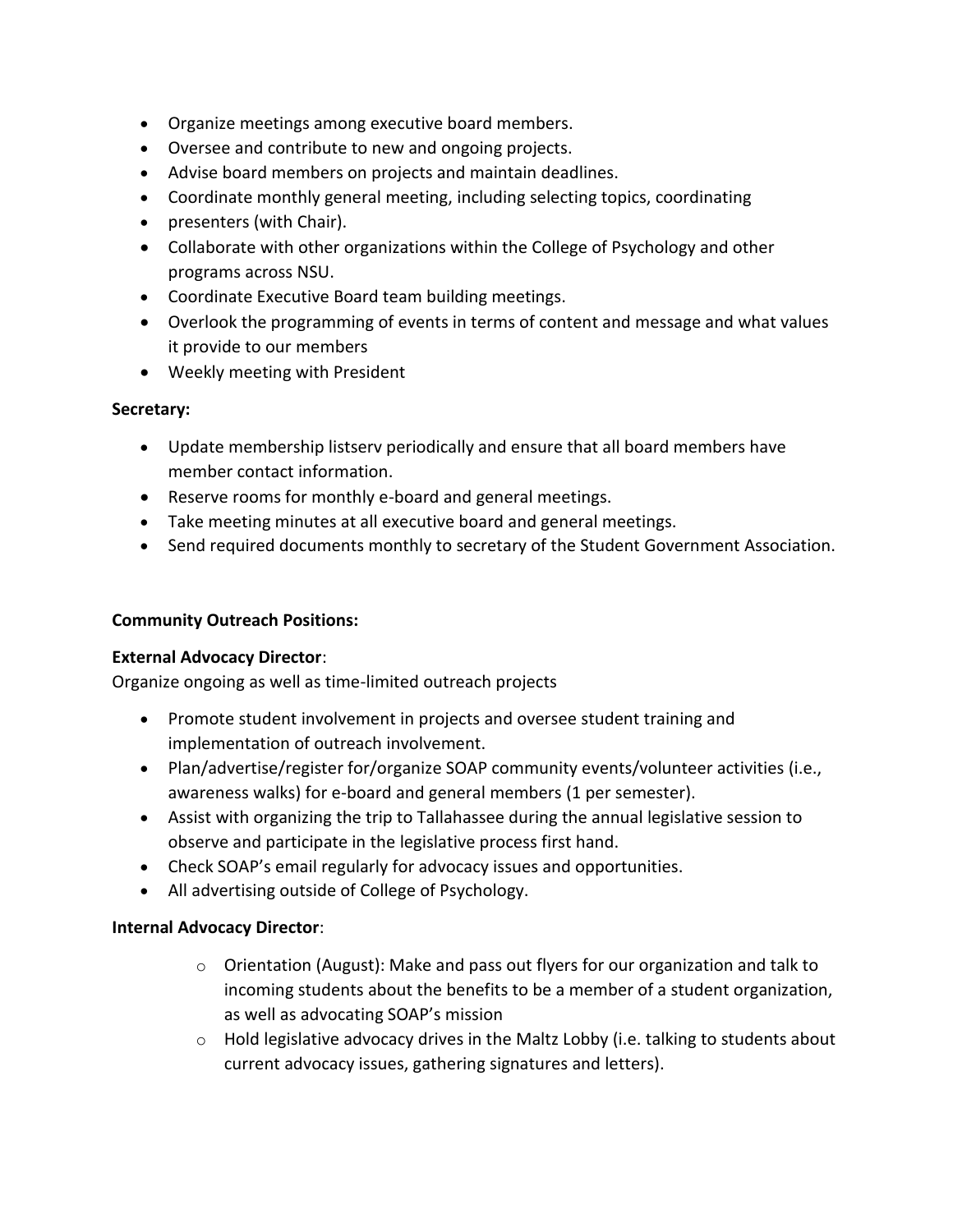- Organize meetings among executive board members.
- Oversee and contribute to new and ongoing projects.
- Advise board members on projects and maintain deadlines.
- Coordinate monthly general meeting, including selecting topics, coordinating
- presenters (with Chair).
- Collaborate with other organizations within the College of Psychology and other programs across NSU.
- Coordinate Executive Board team building meetings.
- Overlook the programming of events in terms of content and message and what values it provide to our members
- Weekly meeting with President

#### **Secretary:**

- Update membership listserv periodically and ensure that all board members have member contact information.
- Reserve rooms for monthly e-board and general meetings.
- Take meeting minutes at all executive board and general meetings.
- Send required documents monthly to secretary of the Student Government Association.

### **Community Outreach Positions:**

#### **External Advocacy Director**:

Organize ongoing as well as time-limited outreach projects

- Promote student involvement in projects and oversee student training and implementation of outreach involvement.
- Plan/advertise/register for/organize SOAP community events/volunteer activities (i.e., awareness walks) for e-board and general members (1 per semester).
- Assist with organizing the trip to Tallahassee during the annual legislative session to observe and participate in the legislative process first hand.
- Check SOAP's email regularly for advocacy issues and opportunities.
- All advertising outside of College of Psychology.

#### **Internal Advocacy Director**:

- $\circ$  Orientation (August): Make and pass out flyers for our organization and talk to incoming students about the benefits to be a member of a student organization, as well as advocating SOAP's mission
- $\circ$  Hold legislative advocacy drives in the Maltz Lobby (i.e. talking to students about current advocacy issues, gathering signatures and letters).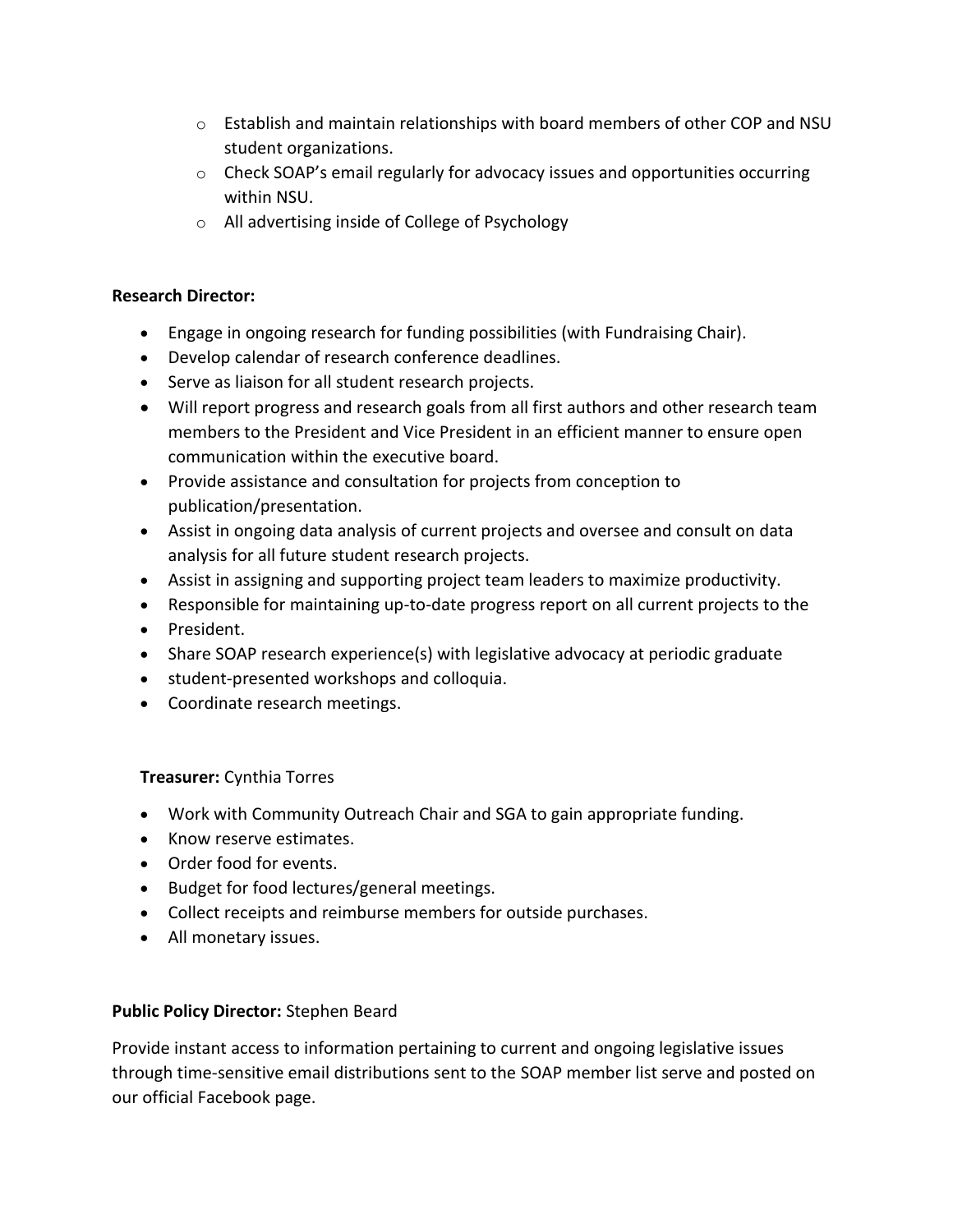- $\circ$  Establish and maintain relationships with board members of other COP and NSU student organizations.
- $\circ$  Check SOAP's email regularly for advocacy issues and opportunities occurring within NSU.
- o All advertising inside of College of Psychology

#### **Research Director:**

- Engage in ongoing research for funding possibilities (with Fundraising Chair).
- Develop calendar of research conference deadlines.
- Serve as liaison for all student research projects.
- Will report progress and research goals from all first authors and other research team members to the President and Vice President in an efficient manner to ensure open communication within the executive board.
- Provide assistance and consultation for projects from conception to publication/presentation.
- Assist in ongoing data analysis of current projects and oversee and consult on data analysis for all future student research projects.
- Assist in assigning and supporting project team leaders to maximize productivity.
- Responsible for maintaining up-to-date progress report on all current projects to the
- President.
- Share SOAP research experience(s) with legislative advocacy at periodic graduate
- student-presented workshops and colloquia.
- Coordinate research meetings.

## **Treasurer:** Cynthia Torres

- Work with Community Outreach Chair and SGA to gain appropriate funding.
- Know reserve estimates.
- Order food for events.
- Budget for food lectures/general meetings.
- Collect receipts and reimburse members for outside purchases.
- All monetary issues.

## **Public Policy Director:** Stephen Beard

Provide instant access to information pertaining to current and ongoing legislative issues through time-sensitive email distributions sent to the SOAP member list serve and posted on our official Facebook page.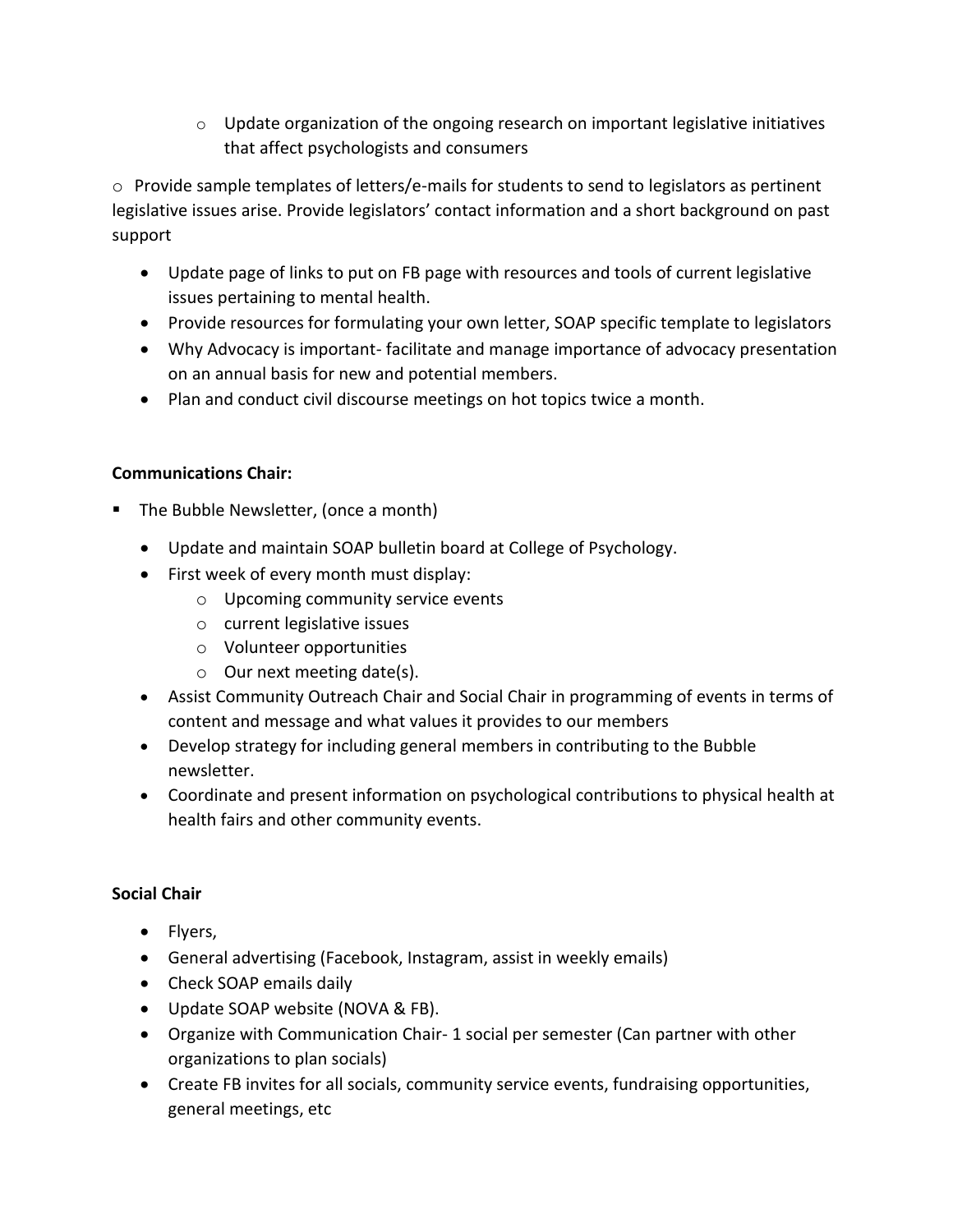$\circ$  Update organization of the ongoing research on important legislative initiatives that affect psychologists and consumers

o Provide sample templates of letters/e-mails for students to send to legislators as pertinent legislative issues arise. Provide legislators' contact information and a short background on past support

- Update page of links to put on FB page with resources and tools of current legislative issues pertaining to mental health.
- Provide resources for formulating your own letter, SOAP specific template to legislators
- Why Advocacy is important- facilitate and manage importance of advocacy presentation on an annual basis for new and potential members.
- Plan and conduct civil discourse meetings on hot topics twice a month.

## **Communications Chair:**

- The Bubble Newsletter, (once a month)
	- Update and maintain SOAP bulletin board at College of Psychology.
	- First week of every month must display:
		- o Upcoming community service events
		- o current legislative issues
		- o Volunteer opportunities
		- o Our next meeting date(s).
	- Assist Community Outreach Chair and Social Chair in programming of events in terms of content and message and what values it provides to our members
	- Develop strategy for including general members in contributing to the Bubble newsletter.
	- Coordinate and present information on psychological contributions to physical health at health fairs and other community events.

## **Social Chair**

- Flyers,
- General advertising (Facebook, Instagram, assist in weekly emails)
- Check SOAP emails daily
- Update SOAP website (NOVA & FB).
- Organize with Communication Chair- 1 social per semester (Can partner with other organizations to plan socials)
- Create FB invites for all socials, community service events, fundraising opportunities, general meetings, etc